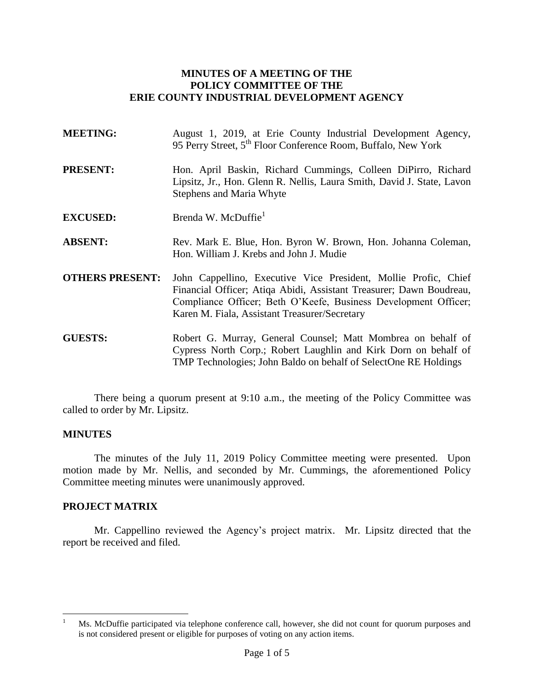### **MINUTES OF A MEETING OF THE POLICY COMMITTEE OF THE ERIE COUNTY INDUSTRIAL DEVELOPMENT AGENCY**

| <b>MEETING:</b>        | August 1, 2019, at Erie County Industrial Development Agency,<br>95 Perry Street, 5 <sup>th</sup> Floor Conference Room, Buffalo, New York                                                                                                                 |  |
|------------------------|------------------------------------------------------------------------------------------------------------------------------------------------------------------------------------------------------------------------------------------------------------|--|
| <b>PRESENT:</b>        | Hon. April Baskin, Richard Cummings, Colleen DiPirro, Richard<br>Lipsitz, Jr., Hon. Glenn R. Nellis, Laura Smith, David J. State, Lavon<br><b>Stephens and Maria Whyte</b>                                                                                 |  |
| <b>EXCUSED:</b>        | Brenda W. McDuffie <sup>1</sup>                                                                                                                                                                                                                            |  |
| <b>ABSENT:</b>         | Rev. Mark E. Blue, Hon. Byron W. Brown, Hon. Johanna Coleman,<br>Hon. William J. Krebs and John J. Mudie                                                                                                                                                   |  |
| <b>OTHERS PRESENT:</b> | John Cappellino, Executive Vice President, Mollie Profic, Chief<br>Financial Officer; Atiqa Abidi, Assistant Treasurer; Dawn Boudreau,<br>Compliance Officer; Beth O'Keefe, Business Development Officer;<br>Karen M. Fiala, Assistant Treasurer/Secretary |  |
| <b>GUESTS:</b>         | Robert G. Murray, General Counsel; Matt Mombrea on behalf of<br>Cypress North Corp.; Robert Laughlin and Kirk Dorn on behalf of<br>TMP Technologies; John Baldo on behalf of SelectOne RE Holdings                                                         |  |

There being a quorum present at 9:10 a.m., the meeting of the Policy Committee was called to order by Mr. Lipsitz.

#### **MINUTES**

The minutes of the July 11, 2019 Policy Committee meeting were presented. Upon motion made by Mr. Nellis, and seconded by Mr. Cummings, the aforementioned Policy Committee meeting minutes were unanimously approved.

#### **PROJECT MATRIX**

Mr. Cappellino reviewed the Agency's project matrix. Mr. Lipsitz directed that the report be received and filed.

 $\mathbf{1}$ Ms. McDuffie participated via telephone conference call, however, she did not count for quorum purposes and is not considered present or eligible for purposes of voting on any action items.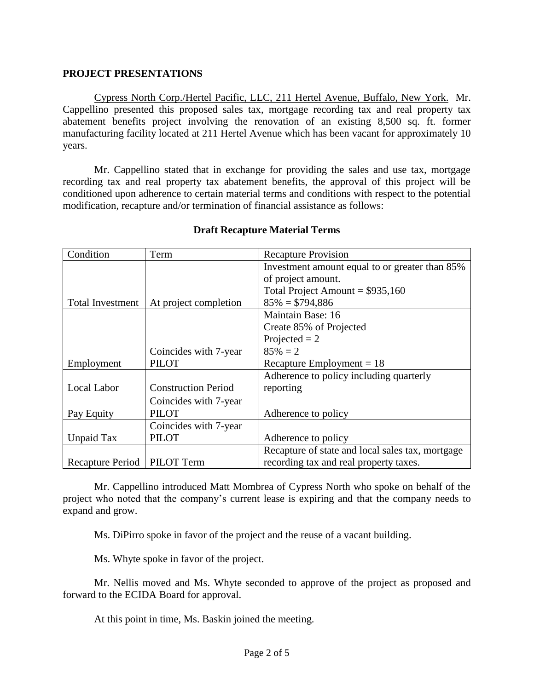### **PROJECT PRESENTATIONS**

Cypress North Corp./Hertel Pacific, LLC, 211 Hertel Avenue, Buffalo, New York. Mr. Cappellino presented this proposed sales tax, mortgage recording tax and real property tax abatement benefits project involving the renovation of an existing 8,500 sq. ft. former manufacturing facility located at 211 Hertel Avenue which has been vacant for approximately 10 years.

Mr. Cappellino stated that in exchange for providing the sales and use tax, mortgage recording tax and real property tax abatement benefits, the approval of this project will be conditioned upon adherence to certain material terms and conditions with respect to the potential modification, recapture and/or termination of financial assistance as follows:

| Condition               | Term                       | <b>Recapture Provision</b>                       |
|-------------------------|----------------------------|--------------------------------------------------|
|                         |                            | Investment amount equal to or greater than 85%   |
|                         |                            | of project amount.                               |
|                         |                            | Total Project Amount = $$935,160$                |
| <b>Total Investment</b> | At project completion      | $85\% = $794,886$                                |
|                         |                            | Maintain Base: 16                                |
|                         |                            | Create 85% of Projected                          |
|                         |                            | Projected $= 2$                                  |
|                         | Coincides with 7-year      | $85\% = 2$                                       |
| Employment              | PILOT                      | Recapture Employment = $18$                      |
|                         |                            | Adherence to policy including quarterly          |
| Local Labor             | <b>Construction Period</b> | reporting                                        |
|                         | Coincides with 7-year      |                                                  |
| Pay Equity              | <b>PILOT</b>               | Adherence to policy                              |
|                         | Coincides with 7-year      |                                                  |
| Unpaid Tax              | <b>PILOT</b>               | Adherence to policy                              |
|                         |                            | Recapture of state and local sales tax, mortgage |
| Recapture Period        | PILOT Term                 | recording tax and real property taxes.           |

## **Draft Recapture Material Terms**

Mr. Cappellino introduced Matt Mombrea of Cypress North who spoke on behalf of the project who noted that the company's current lease is expiring and that the company needs to expand and grow.

Ms. DiPirro spoke in favor of the project and the reuse of a vacant building.

Ms. Whyte spoke in favor of the project.

Mr. Nellis moved and Ms. Whyte seconded to approve of the project as proposed and forward to the ECIDA Board for approval.

At this point in time, Ms. Baskin joined the meeting.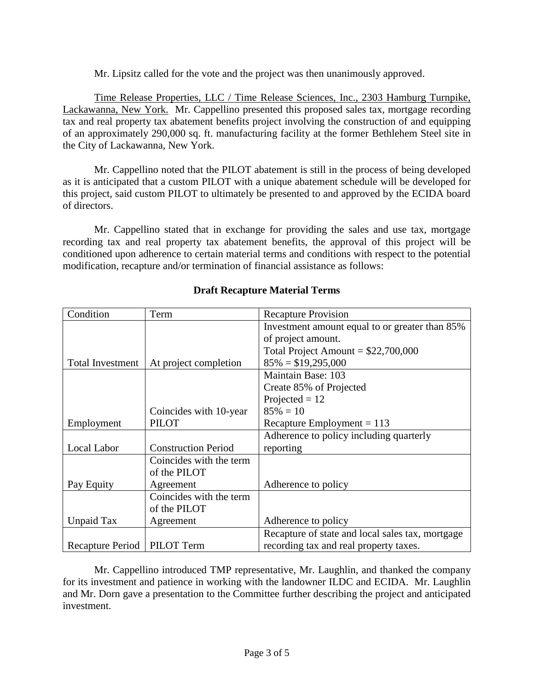Mr. Lipsitz called for the vote and the project was then unanimously approved.

Time Release Properties, LLC / Time Release Sciences, Inc., 2303 Hamburg Turnpike, Lackawanna, New York. Mr. Cappellino presented this proposed sales tax, mortgage recording tax and real property tax abatement benefits project involving the construction of and equipping of an approximately 290,000 sq. ft. manufacturing facility at the former Bethlehem Steel site in the City of Lackawanna, New York.

Mr. Cappellino noted that the PILOT abatement is still in the process of being developed as it is anticipated that a custom PILOT with a unique abatement schedule will be developed for this project, said custom PILOT to ultimately be presented to and approved by the ECIDA board of directors.

Mr. Cappellino stated that in exchange for providing the sales and use tax, mortgage recording tax and real property tax abatement benefits, the approval of this project will be conditioned upon adherence to certain material terms and conditions with respect to the potential modification, recapture and/or termination of financial assistance as follows:

| Condition        | Term                       | <b>Recapture Provision</b>                       |
|------------------|----------------------------|--------------------------------------------------|
|                  |                            | Investment amount equal to or greater than 85%   |
|                  |                            | of project amount.                               |
|                  |                            | Total Project Amount = $$22,700,000$             |
| Total Investment | At project completion      | $85\% = $19,295,000$                             |
|                  |                            | Maintain Base: 103                               |
|                  |                            | Create 85% of Projected                          |
|                  |                            | Projected $= 12$                                 |
|                  | Coincides with 10-year     | $85\% = 10$                                      |
| Employment       | <b>PILOT</b>               | Recapture Employment $= 113$                     |
|                  |                            | Adherence to policy including quarterly          |
| Local Labor      | <b>Construction Period</b> | reporting                                        |
|                  | Coincides with the term    |                                                  |
|                  | of the PILOT               |                                                  |
| Pay Equity       | Agreement                  | Adherence to policy                              |
|                  | Coincides with the term    |                                                  |
|                  | of the PILOT               |                                                  |
| Unpaid Tax       | Agreement                  | Adherence to policy                              |
|                  |                            | Recapture of state and local sales tax, mortgage |
| Recapture Period | PILOT Term                 | recording tax and real property taxes.           |

# **Draft Recapture Material Terms**

Mr. Cappellino introduced TMP representative, Mr. Laughlin, and thanked the company for its investment and patience in working with the landowner ILDC and ECIDA. Mr. Laughlin and Mr. Dorn gave a presentation to the Committee further describing the project and anticipated investment.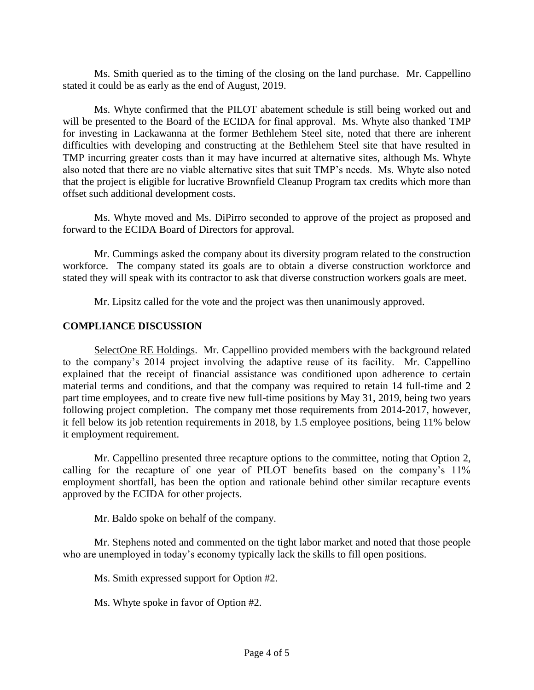Ms. Smith queried as to the timing of the closing on the land purchase. Mr. Cappellino stated it could be as early as the end of August, 2019.

Ms. Whyte confirmed that the PILOT abatement schedule is still being worked out and will be presented to the Board of the ECIDA for final approval. Ms. Whyte also thanked TMP for investing in Lackawanna at the former Bethlehem Steel site, noted that there are inherent difficulties with developing and constructing at the Bethlehem Steel site that have resulted in TMP incurring greater costs than it may have incurred at alternative sites, although Ms. Whyte also noted that there are no viable alternative sites that suit TMP's needs. Ms. Whyte also noted that the project is eligible for lucrative Brownfield Cleanup Program tax credits which more than offset such additional development costs.

Ms. Whyte moved and Ms. DiPirro seconded to approve of the project as proposed and forward to the ECIDA Board of Directors for approval.

Mr. Cummings asked the company about its diversity program related to the construction workforce. The company stated its goals are to obtain a diverse construction workforce and stated they will speak with its contractor to ask that diverse construction workers goals are meet.

Mr. Lipsitz called for the vote and the project was then unanimously approved.

### **COMPLIANCE DISCUSSION**

SelectOne RE Holdings. Mr. Cappellino provided members with the background related to the company's 2014 project involving the adaptive reuse of its facility. Mr. Cappellino explained that the receipt of financial assistance was conditioned upon adherence to certain material terms and conditions, and that the company was required to retain 14 full-time and 2 part time employees, and to create five new full-time positions by May 31, 2019, being two years following project completion. The company met those requirements from 2014-2017, however, it fell below its job retention requirements in 2018, by 1.5 employee positions, being 11% below it employment requirement.

Mr. Cappellino presented three recapture options to the committee, noting that Option 2, calling for the recapture of one year of PILOT benefits based on the company's 11% employment shortfall, has been the option and rationale behind other similar recapture events approved by the ECIDA for other projects.

Mr. Baldo spoke on behalf of the company.

Mr. Stephens noted and commented on the tight labor market and noted that those people who are unemployed in today's economy typically lack the skills to fill open positions.

Ms. Smith expressed support for Option #2.

Ms. Whyte spoke in favor of Option #2.